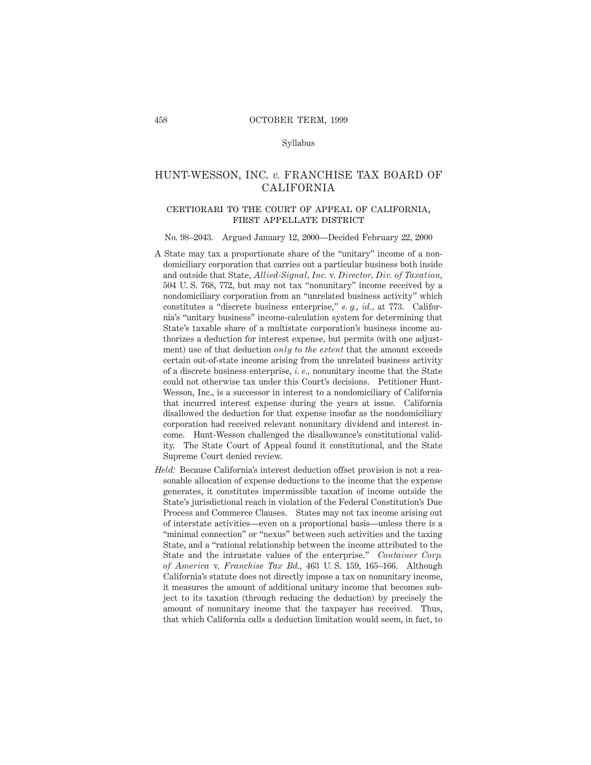#### Syllabus

# HUNT-WESSON, INC. *v.* FRANCHISE TAX BOARD OF CALIFORNIA

### certiorari to the court of appeal of california,**FIRST APPELLATE DISTRICT**

No. 98–2043. Argued January 12, 2000—Decided February 22, 2000

- A State may tax a proportionate share of the "unitary" income of a nondomiciliary corporation that carries out a particular business both inside and outside that State, *Allied-Signal, Inc.* v. *Director, Div. of Taxation,* 504 U. S. 768, 772, but may not tax "nonunitary" income received by a nondomiciliary corporation from an "unrelated business activity" which constitutes a "discrete business enterprise," *e. g., id.,* at 773. California's "unitary business" income-calculation system for determining that State's taxable share of a multistate corporation's business income authorizes a deduction for interest expense, but permits (with one adjustment) use of that deduction *only to the extent* that the amount exceeds certain out-of-state income arising from the unrelated business activity of a discrete business enterprise, *i. e.,* nonunitary income that the State could not otherwise tax under this Court's decisions. Petitioner Hunt-Wesson, Inc., is a successor in interest to a nondomiciliary of California that incurred interest expense during the years at issue. California disallowed the deduction for that expense insofar as the nondomiciliary corporation had received relevant nonunitary dividend and interest income. Hunt-Wesson challenged the disallowance's constitutional validity. The State Court of Appeal found it constitutional, and the State Supreme Court denied review.
- *Held:* Because California's interest deduction offset provision is not a reasonable allocation of expense deductions to the income that the expense generates, it constitutes impermissible taxation of income outside the State's jurisdictional reach in violation of the Federal Constitution's Due Process and Commerce Clauses. States may not tax income arising out of interstate activities—even on a proportional basis—unless there is a "minimal connection" or "nexus" between such activities and the taxing State, and a "rational relationship between the income attributed to the State and the intrastate values of the enterprise." *Container Corp. of America* v. *Franchise Tax Bd.,* 463 U. S. 159, 165–166. Although California's statute does not directly impose a tax on nonunitary income, it measures the amount of additional unitary income that becomes subject to its taxation (through reducing the deduction) by precisely the amount of nonunitary income that the taxpayer has received. Thus, that which California calls a deduction limitation would seem, in fact, to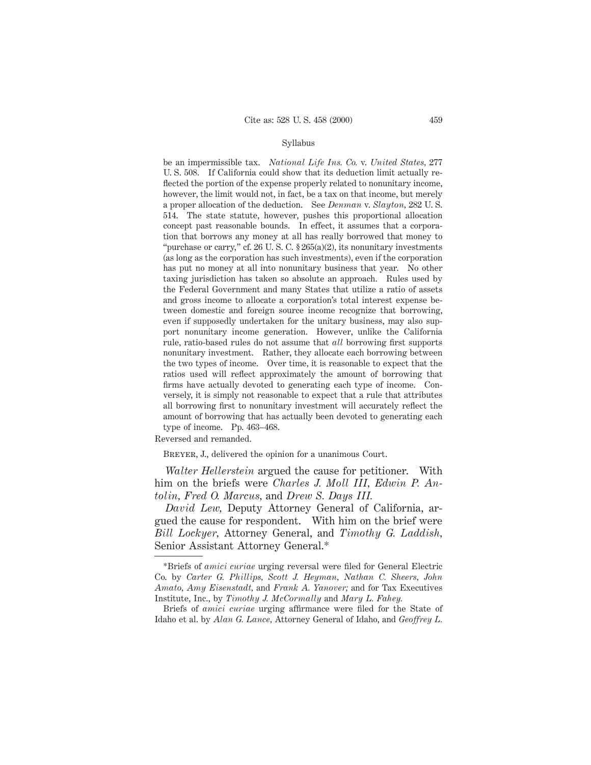#### Syllabus

be an impermissible tax. *National Life Ins. Co.* v. *United States,* 277 U. S. 508. If California could show that its deduction limit actually reflected the portion of the expense properly related to nonunitary income, however, the limit would not, in fact, be a tax on that income, but merely a proper allocation of the deduction. See *Denman* v. *Slayton,* 282 U. S. 514. The state statute, however, pushes this proportional allocation concept past reasonable bounds. In effect, it assumes that a corporation that borrows any money at all has really borrowed that money to "purchase or carry," cf. 26 U.S.C.  $\S 265(a)(2)$ , its nonunitary investments (as long as the corporation has such investments), even if the corporation has put no money at all into nonunitary business that year. No other taxing jurisdiction has taken so absolute an approach. Rules used by the Federal Government and many States that utilize a ratio of assets and gross income to allocate a corporation's total interest expense between domestic and foreign source income recognize that borrowing, even if supposedly undertaken for the unitary business, may also support nonunitary income generation. However, unlike the California rule, ratio-based rules do not assume that *all* borrowing first supports nonunitary investment. Rather, they allocate each borrowing between the two types of income. Over time, it is reasonable to expect that the ratios used will reflect approximately the amount of borrowing that firms have actually devoted to generating each type of income. Conversely, it is simply not reasonable to expect that a rule that attributes all borrowing first to nonunitary investment will accurately reflect the amount of borrowing that has actually been devoted to generating each type of income. Pp. 463–468.

Reversed and remanded.

Breyer, J., delivered the opinion for a unanimous Court.

*Walter Hellerstein* argued the cause for petitioner. With him on the briefs were *Charles J. Moll III, Edwin P. Antolin, Fred O. Marcus,* and *Drew S. Days III.*

*David Lew,* Deputy Attorney General of California, argued the cause for respondent. With him on the brief were *Bill Lockyer,* Attorney General, and *Timothy G. Laddish,* Senior Assistant Attorney General.\*

<sup>\*</sup>Briefs of *amici curiae* urging reversal were filed for General Electric Co. by *Carter G. Phillips, Scott J. Heyman, Nathan C. Sheers, John Amato, Amy Eisenstadt,* and *Frank A. Yanover;* and for Tax Executives Institute, Inc., by *Timothy J. McCormally* and *Mary L. Fahey.*

Briefs of *amici curiae* urging affirmance were filed for the State of Idaho et al. by *Alan G. Lance,* Attorney General of Idaho, and *Geoffrey L.*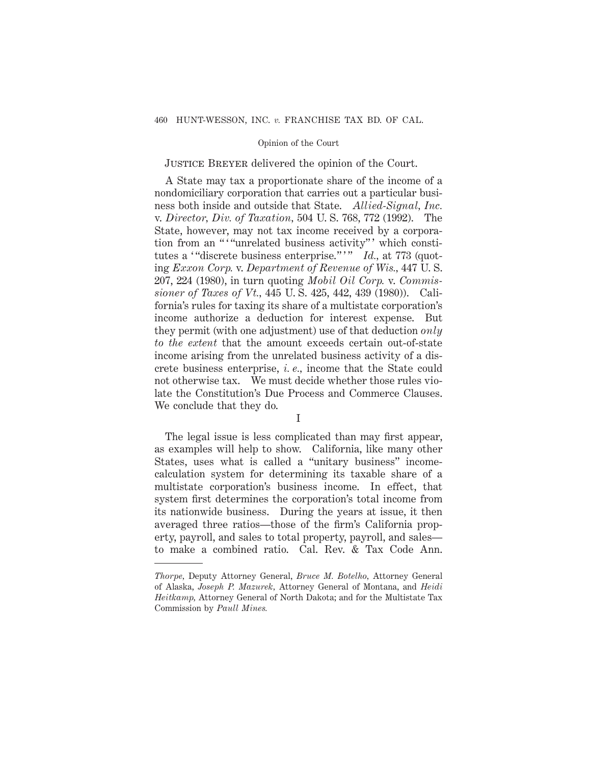# Justice Breyer delivered the opinion of the Court.

A State may tax a proportionate share of the income of a nondomiciliary corporation that carries out a particular business both inside and outside that State. *Allied-Signal, Inc.* v. *Director, Div. of Taxation,* 504 U. S. 768, 772 (1992). The State, however, may not tax income received by a corporation from an ""unrelated business activity" which constitutes a "discrete business enterprise."" *Id.*, at 773 (quoting *Exxon Corp.* v. *Department of Revenue of Wis.,* 447 U. S. 207, 224 (1980), in turn quoting *Mobil Oil Corp.* v. *Commissioner of Taxes of Vt.,* 445 U. S. 425, 442, 439 (1980)). California's rules for taxing its share of a multistate corporation's income authorize a deduction for interest expense. But they permit (with one adjustment) use of that deduction *only to the extent* that the amount exceeds certain out-of-state income arising from the unrelated business activity of a discrete business enterprise, *i. e.,* income that the State could not otherwise tax. We must decide whether those rules violate the Constitution's Due Process and Commerce Clauses. We conclude that they do.

I

The legal issue is less complicated than may first appear, as examples will help to show. California, like many other States, uses what is called a "unitary business" incomecalculation system for determining its taxable share of a multistate corporation's business income. In effect, that system first determines the corporation's total income from its nationwide business. During the years at issue, it then averaged three ratios—those of the firm's California property, payroll, and sales to total property, payroll, and sales to make a combined ratio. Cal. Rev. & Tax Code Ann.

*Thorpe,* Deputy Attorney General, *Bruce M. Botelho,* Attorney General of Alaska, *Joseph P. Mazurek,* Attorney General of Montana, and *Heidi Heitkamp,* Attorney General of North Dakota; and for the Multistate Tax Commission by *Paull Mines.*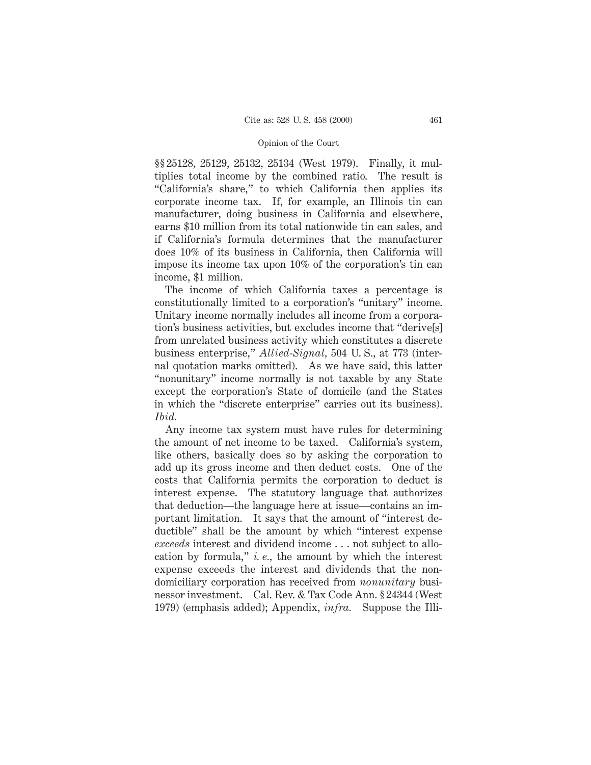§§ 25128, 25129, 25132, 25134 (West 1979). Finally, it multiplies total income by the combined ratio. The result is "California's share," to which California then applies its corporate income tax. If, for example, an Illinois tin can manufacturer, doing business in California and elsewhere, earns \$10 million from its total nationwide tin can sales, and if California's formula determines that the manufacturer does 10% of its business in California, then California will impose its income tax upon 10% of the corporation's tin can income, \$1 million.

The income of which California taxes a percentage is constitutionally limited to a corporation's "unitary" income. Unitary income normally includes all income from a corporation's business activities, but excludes income that "derive[s] from unrelated business activity which constitutes a discrete business enterprise," *Allied-Signal,* 504 U. S., at 773 (internal quotation marks omitted). As we have said, this latter "nonunitary" income normally is not taxable by any State except the corporation's State of domicile (and the States in which the "discrete enterprise" carries out its business). *Ibid.*

Any income tax system must have rules for determining the amount of net income to be taxed. California's system, like others, basically does so by asking the corporation to add up its gross income and then deduct costs. One of the costs that California permits the corporation to deduct is interest expense. The statutory language that authorizes that deduction—the language here at issue—contains an important limitation. It says that the amount of "interest deductible" shall be the amount by which "interest expense *exceeds* interest and dividend income . . . not subject to allocation by formula," *i. e.,* the amount by which the interest expense exceeds the interest and dividends that the nondomiciliary corporation has received from *nonunitary* businessor investment. Cal. Rev. & Tax Code Ann. § 24344 (West 1979) (emphasis added); Appendix, *infra.* Suppose the Illi-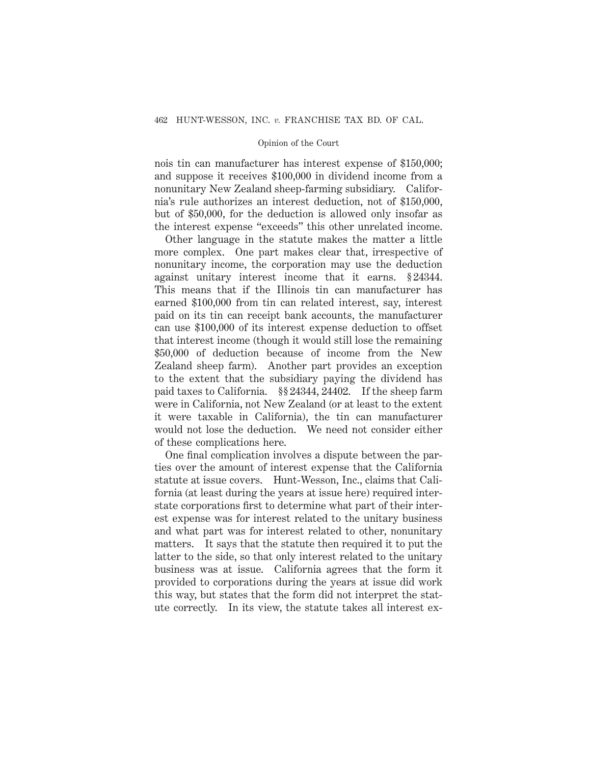nois tin can manufacturer has interest expense of \$150,000; and suppose it receives \$100,000 in dividend income from a nonunitary New Zealand sheep-farming subsidiary. California's rule authorizes an interest deduction, not of \$150,000, but of \$50,000, for the deduction is allowed only insofar as the interest expense "exceeds" this other unrelated income.

Other language in the statute makes the matter a little more complex. One part makes clear that, irrespective of nonunitary income, the corporation may use the deduction against unitary interest income that it earns. § 24344. This means that if the Illinois tin can manufacturer has earned \$100,000 from tin can related interest, say, interest paid on its tin can receipt bank accounts, the manufacturer can use \$100,000 of its interest expense deduction to offset that interest income (though it would still lose the remaining \$50,000 of deduction because of income from the New Zealand sheep farm). Another part provides an exception to the extent that the subsidiary paying the dividend has paid taxes to California. §§ 24344, 24402. If the sheep farm were in California, not New Zealand (or at least to the extent it were taxable in California), the tin can manufacturer would not lose the deduction. We need not consider either of these complications here.

One final complication involves a dispute between the parties over the amount of interest expense that the California statute at issue covers. Hunt-Wesson, Inc., claims that California (at least during the years at issue here) required interstate corporations first to determine what part of their interest expense was for interest related to the unitary business and what part was for interest related to other, nonunitary matters. It says that the statute then required it to put the latter to the side, so that only interest related to the unitary business was at issue. California agrees that the form it provided to corporations during the years at issue did work this way, but states that the form did not interpret the statute correctly. In its view, the statute takes all interest ex-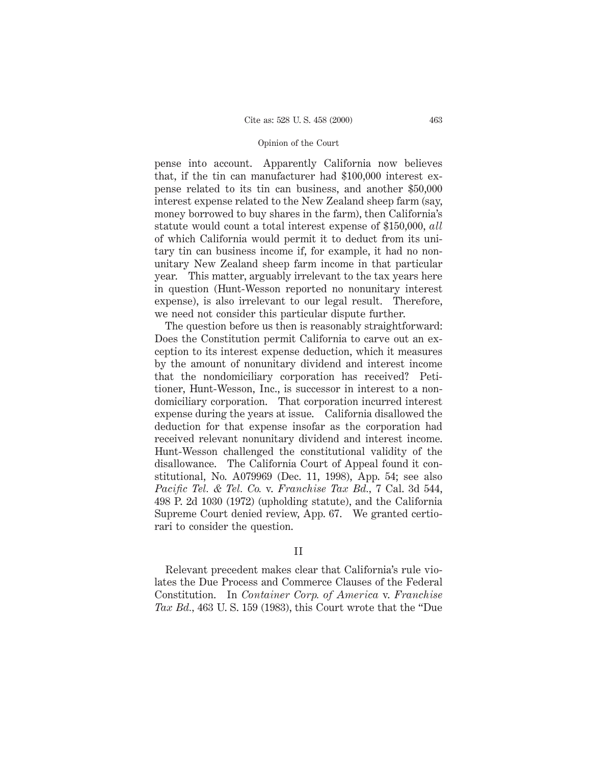pense into account. Apparently California now believes that, if the tin can manufacturer had \$100,000 interest expense related to its tin can business, and another \$50,000 interest expense related to the New Zealand sheep farm (say, money borrowed to buy shares in the farm), then California's statute would count a total interest expense of \$150,000, *all* of which California would permit it to deduct from its unitary tin can business income if, for example, it had no nonunitary New Zealand sheep farm income in that particular year. This matter, arguably irrelevant to the tax years here in question (Hunt-Wesson reported no nonunitary interest expense), is also irrelevant to our legal result. Therefore, we need not consider this particular dispute further.

The question before us then is reasonably straightforward: Does the Constitution permit California to carve out an exception to its interest expense deduction, which it measures by the amount of nonunitary dividend and interest income that the nondomiciliary corporation has received? Petitioner, Hunt-Wesson, Inc., is successor in interest to a nondomiciliary corporation. That corporation incurred interest expense during the years at issue. California disallowed the deduction for that expense insofar as the corporation had received relevant nonunitary dividend and interest income. Hunt-Wesson challenged the constitutional validity of the disallowance. The California Court of Appeal found it constitutional, No. A079969 (Dec. 11, 1998), App. 54; see also *Pacific Tel. & Tel. Co.* v. *Franchise Tax Bd.,* 7 Cal. 3d 544, 498 P. 2d 1030 (1972) (upholding statute), and the California Supreme Court denied review, App. 67. We granted certiorari to consider the question.

## II

Relevant precedent makes clear that California's rule violates the Due Process and Commerce Clauses of the Federal Constitution. In *Container Corp. of America* v. *Franchise Tax Bd.,* 463 U. S. 159 (1983), this Court wrote that the "Due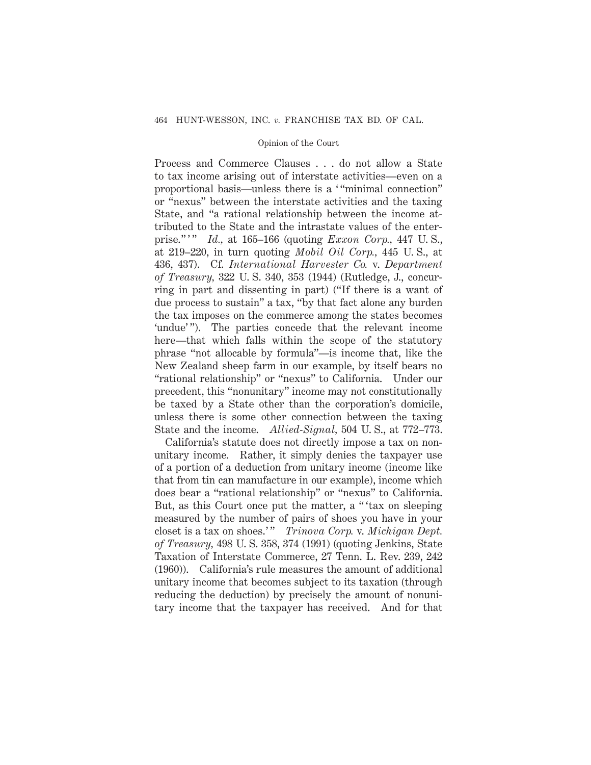Process and Commerce Clauses . . . do not allow a State to tax income arising out of interstate activities—even on a proportional basis—unless there is a ' "minimal connection" or "nexus" between the interstate activities and the taxing State, and "a rational relationship between the income attributed to the State and the intrastate values of the enterprise."" *Id.*, at 165–166 (quoting *Exxon Corp.*, 447 U.S., at 219–220, in turn quoting *Mobil Oil Corp.,* 445 U. S., at 436, 437). Cf. *International Harvester Co.* v. *Department of Treasury,* 322 U. S. 340, 353 (1944) (Rutledge, J., concurring in part and dissenting in part) ("If there is a want of due process to sustain" a tax, "by that fact alone any burden the tax imposes on the commerce among the states becomes 'undue' "). The parties concede that the relevant income here—that which falls within the scope of the statutory phrase "not allocable by formula"—is income that, like the New Zealand sheep farm in our example, by itself bears no "rational relationship" or "nexus" to California. Under our precedent, this "nonunitary" income may not constitutionally be taxed by a State other than the corporation's domicile, unless there is some other connection between the taxing State and the income. *Allied-Signal,* 504 U. S., at 772–773.

California's statute does not directly impose a tax on nonunitary income. Rather, it simply denies the taxpayer use of a portion of a deduction from unitary income (income like that from tin can manufacture in our example), income which does bear a "rational relationship" or "nexus" to California. But, as this Court once put the matter, a " 'tax on sleeping measured by the number of pairs of shoes you have in your closet is a tax on shoes.'" *Trinova Corp.* v. *Michigan Dept. of Treasury,* 498 U. S. 358, 374 (1991) (quoting Jenkins, State Taxation of Interstate Commerce, 27 Tenn. L. Rev. 239, 242 (1960)). California's rule measures the amount of additional unitary income that becomes subject to its taxation (through reducing the deduction) by precisely the amount of nonunitary income that the taxpayer has received. And for that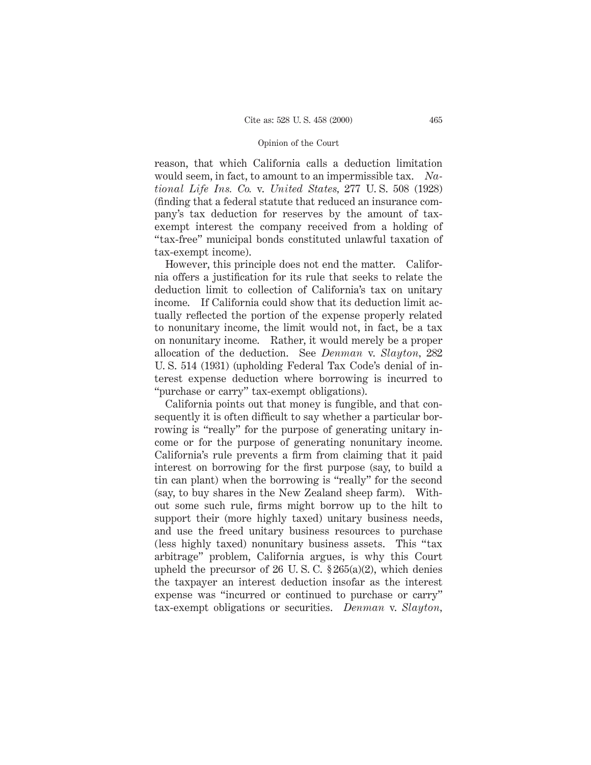reason, that which California calls a deduction limitation would seem, in fact, to amount to an impermissible tax. *National Life Ins. Co.* v. *United States,* 277 U. S. 508 (1928) (finding that a federal statute that reduced an insurance company's tax deduction for reserves by the amount of taxexempt interest the company received from a holding of "tax-free" municipal bonds constituted unlawful taxation of tax-exempt income).

However, this principle does not end the matter. California offers a justification for its rule that seeks to relate the deduction limit to collection of California's tax on unitary income. If California could show that its deduction limit actually reflected the portion of the expense properly related to nonunitary income, the limit would not, in fact, be a tax on nonunitary income. Rather, it would merely be a proper allocation of the deduction. See *Denman* v. *Slayton,* 282 U. S. 514 (1931) (upholding Federal Tax Code's denial of interest expense deduction where borrowing is incurred to "purchase or carry" tax-exempt obligations).

California points out that money is fungible, and that consequently it is often difficult to say whether a particular borrowing is "really" for the purpose of generating unitary income or for the purpose of generating nonunitary income. California's rule prevents a firm from claiming that it paid interest on borrowing for the first purpose (say, to build a tin can plant) when the borrowing is "really" for the second (say, to buy shares in the New Zealand sheep farm). Without some such rule, firms might borrow up to the hilt to support their (more highly taxed) unitary business needs, and use the freed unitary business resources to purchase (less highly taxed) nonunitary business assets. This "tax arbitrage" problem, California argues, is why this Court upheld the precursor of 26 U. S. C. § 265(a)(2), which denies the taxpayer an interest deduction insofar as the interest expense was "incurred or continued to purchase or carry" tax-exempt obligations or securities. *Denman* v. *Slayton,*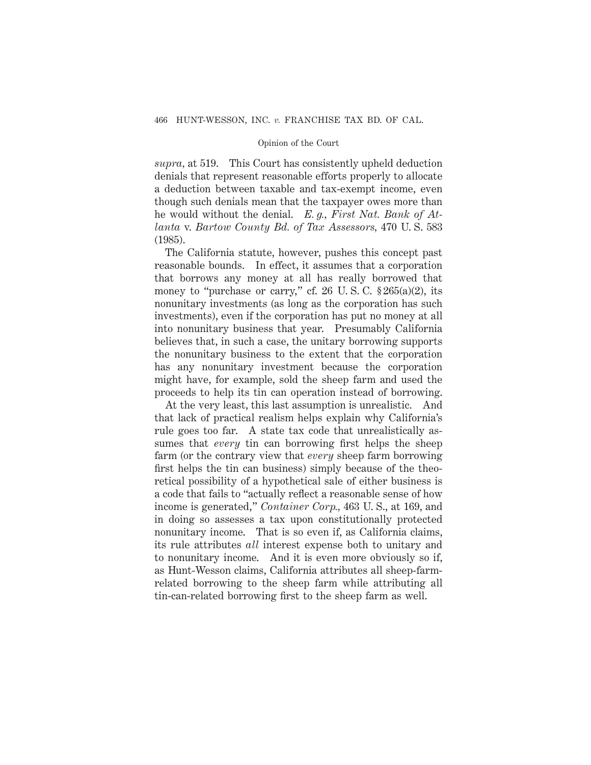*supra,* at 519. This Court has consistently upheld deduction denials that represent reasonable efforts properly to allocate a deduction between taxable and tax-exempt income, even though such denials mean that the taxpayer owes more than he would without the denial. *E. g., First Nat. Bank of Atlanta* v. *Bartow County Bd. of Tax Assessors,* 470 U. S. 583 (1985).

The California statute, however, pushes this concept past reasonable bounds. In effect, it assumes that a corporation that borrows any money at all has really borrowed that money to "purchase or carry," cf. 26 U.S.C. § 265(a)(2), its nonunitary investments (as long as the corporation has such investments), even if the corporation has put no money at all into nonunitary business that year. Presumably California believes that, in such a case, the unitary borrowing supports the nonunitary business to the extent that the corporation has any nonunitary investment because the corporation might have, for example, sold the sheep farm and used the proceeds to help its tin can operation instead of borrowing.

At the very least, this last assumption is unrealistic. And that lack of practical realism helps explain why California's rule goes too far. A state tax code that unrealistically assumes that *every* tin can borrowing first helps the sheep farm (or the contrary view that *every* sheep farm borrowing first helps the tin can business) simply because of the theoretical possibility of a hypothetical sale of either business is a code that fails to "actually reflect a reasonable sense of how income is generated," *Container Corp.,* 463 U. S., at 169, and in doing so assesses a tax upon constitutionally protected nonunitary income. That is so even if, as California claims, its rule attributes *all* interest expense both to unitary and to nonunitary income. And it is even more obviously so if, as Hunt-Wesson claims, California attributes all sheep-farmrelated borrowing to the sheep farm while attributing all tin-can-related borrowing first to the sheep farm as well.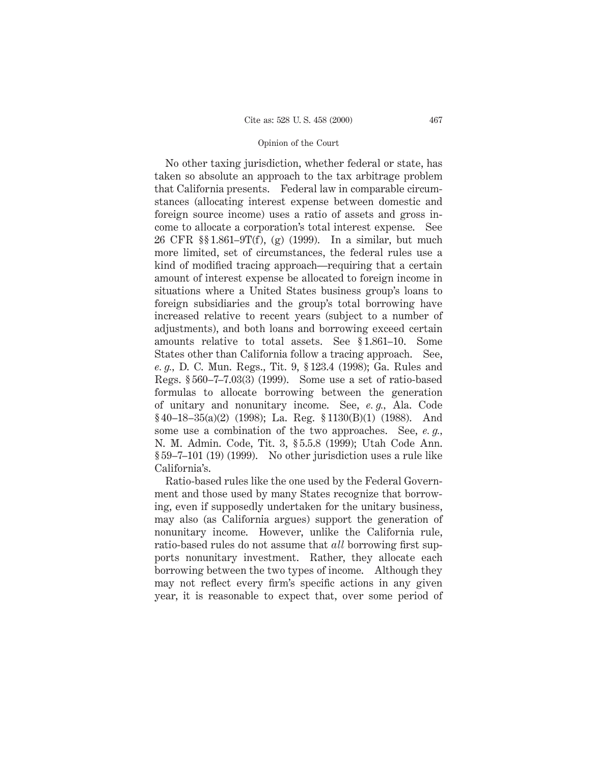No other taxing jurisdiction, whether federal or state, has taken so absolute an approach to the tax arbitrage problem that California presents. Federal law in comparable circumstances (allocating interest expense between domestic and foreign source income) uses a ratio of assets and gross income to allocate a corporation's total interest expense. See 26 CFR §§ 1.861–9T(f), (g) (1999). In a similar, but much more limited, set of circumstances, the federal rules use a kind of modified tracing approach—requiring that a certain amount of interest expense be allocated to foreign income in situations where a United States business group's loans to foreign subsidiaries and the group's total borrowing have increased relative to recent years (subject to a number of adjustments), and both loans and borrowing exceed certain amounts relative to total assets. See § 1.861–10. Some States other than California follow a tracing approach. See, *e. g.,* D. C. Mun. Regs., Tit. 9, § 123.4 (1998); Ga. Rules and Regs. § 560–7–7.03(3) (1999). Some use a set of ratio-based formulas to allocate borrowing between the generation of unitary and nonunitary income. See, *e. g.,* Ala. Code § 40–18–35(a)(2) (1998); La. Reg. § 1130(B)(1) (1988). And some use a combination of the two approaches. See, *e. g.,* N. M. Admin. Code, Tit. 3, § 5.5.8 (1999); Utah Code Ann. § 59–7–101 (19) (1999). No other jurisdiction uses a rule like California's.

Ratio-based rules like the one used by the Federal Government and those used by many States recognize that borrowing, even if supposedly undertaken for the unitary business, may also (as California argues) support the generation of nonunitary income. However, unlike the California rule, ratio-based rules do not assume that *all* borrowing first supports nonunitary investment. Rather, they allocate each borrowing between the two types of income. Although they may not reflect every firm's specific actions in any given year, it is reasonable to expect that, over some period of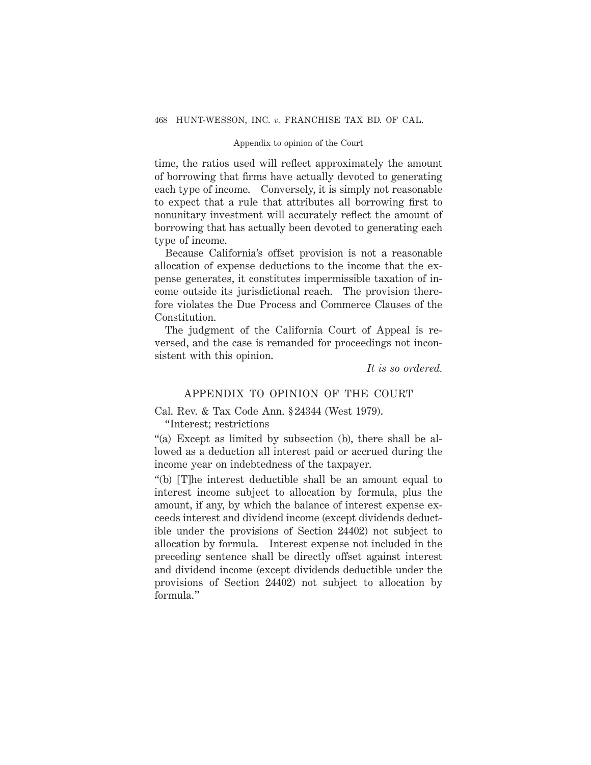# Appendix to opinion of the Court

time, the ratios used will reflect approximately the amount of borrowing that firms have actually devoted to generating each type of income. Conversely, it is simply not reasonable to expect that a rule that attributes all borrowing first to nonunitary investment will accurately reflect the amount of borrowing that has actually been devoted to generating each type of income.

Because California's offset provision is not a reasonable allocation of expense deductions to the income that the expense generates, it constitutes impermissible taxation of income outside its jurisdictional reach. The provision therefore violates the Due Process and Commerce Clauses of the Constitution.

The judgment of the California Court of Appeal is reversed, and the case is remanded for proceedings not inconsistent with this opinion.

*It is so ordered.*

# APPENDIX TO OPINION OF THE COURT

Cal. Rev. & Tax Code Ann. § 24344 (West 1979).

"Interest; restrictions

"(a) Except as limited by subsection (b), there shall be allowed as a deduction all interest paid or accrued during the income year on indebtedness of the taxpayer.

"(b) [T]he interest deductible shall be an amount equal to interest income subject to allocation by formula, plus the amount, if any, by which the balance of interest expense exceeds interest and dividend income (except dividends deductible under the provisions of Section 24402) not subject to allocation by formula. Interest expense not included in the preceding sentence shall be directly offset against interest and dividend income (except dividends deductible under the provisions of Section 24402) not subject to allocation by formula."